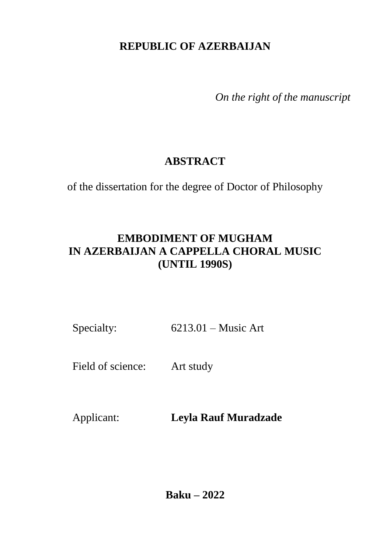# **REPUBLIC OF AZERBAIJAN**

*On the right of the manuscript* 

# **ABSTRACT**

of the dissertation for the degree of Doctor of Philosophy

# **EMBODIMENT OF MUGHAM IN AZERBAIJAN A CAPPELLA CHORAL MUSIC (UNTIL 1990S)**

Specialty: 6213.01 – Music Art

Field of science: Art study

Applicant: **Leyla Rauf Muradzade**

**Baku – 2022**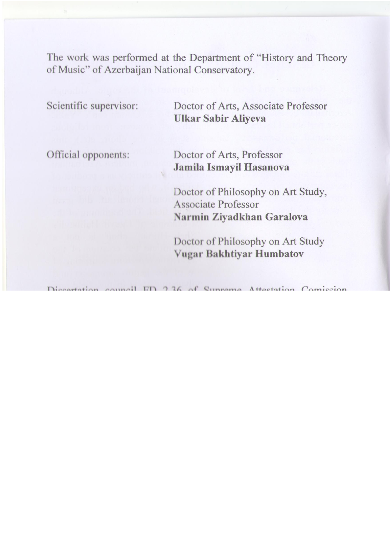The work was performed at the Department of "History and Theory of Music" of Azerbaijan National Conservatory.

| Scientific supervisor: | Doctor of Arts, Associate Professor<br>Ulkar Sabir Aliyeva                                    |
|------------------------|-----------------------------------------------------------------------------------------------|
| Official opponents:    | Doctor of Arts, Professor<br>Jamila Ismayil Hasanova                                          |
|                        | Doctor of Philosophy on Art Study,<br><b>Associate Professor</b><br>Narmin Ziyadkhan Garalova |
|                        | Doctor of Philosophy on Art Study<br>Vugar Bakhtiyar Humbatov                                 |

Dissertation council FD 2.36 of Supreme Attestation Comission under the President of the Republic of Azerbaijan operating at Baku Music Academy named after U.Hajibeyli

| Chairman of the             |                                                               |
|-----------------------------|---------------------------------------------------------------|
| Dissertation council:       | People's Artist, Professor<br><b>Farhad Shamsi Badalbeyli</b> |
|                             |                                                               |
| Scientific secretary of the |                                                               |
| Dissertation council:       | Doctor of Philosophy on Art Study,<br>Associate Professor     |
|                             | Leyla Ramiz Zohrabova                                         |
| Chairman of the             |                                                               |
| scientific seminar:         | Doctor of Arts, Professor                                     |
|                             | <b>Imruz Mammad Sadikh Afandiyeva</b>                         |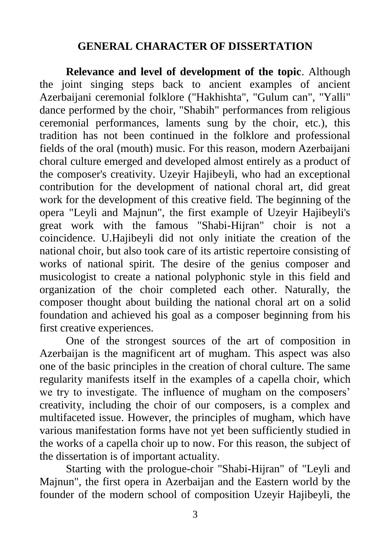#### **GENERAL CHARACTER OF DISSERTATION**

**Relevance and level of development of the topic**. Although the joint singing steps back to ancient examples of ancient Azerbaijani ceremonial folklore ("Hakhishta", "Gulum can", "Yalli" dance performed by the choir, "Shabih" performances from religious ceremonial performances, laments sung by the choir, etc.), this tradition has not been continued in the folklore and professional fields of the oral (mouth) music. For this reason, modern Azerbaijani choral culture emerged and developed almost entirely as a product of the composer's creativity. Uzeyir Hajibeyli, who had an exceptional contribution for the development of national choral art, did great work for the development of this creative field. The beginning of the opera "Leyli and Majnun", the first example of Uzeyir Hajibeyli's great work with the famous "Shabi-Hijran" choir is not a coincidence. U.Hajibeyli did not only initiate the creation of the national choir, but also took care of its artistic repertoire consisting of works of national spirit. The desire of the genius composer and musicologist to create a national polyphonic style in this field and organization of the choir completed each other. Naturally, the composer thought about building the national choral art on a solid foundation and achieved his goal as a composer beginning from his first creative experiences.

One of the strongest sources of the art of composition in Azerbaijan is the magnificent art of mugham. This aspect was also one of the basic principles in the creation of choral culture. The same regularity manifests itself in the examples of a capella choir, which we try to investigate. The influence of mugham on the composers' creativity, including the choir of our composers, is a complex and multifaceted issue. However, the principles of mugham, which have various manifestation forms have not yet been sufficiently studied in the works of a capella choir up to now. For this reason, the subject of the dissertation is of important actuality.

Starting with the prologue-choir "Shabi-Hijran" of "Leyli and Majnun", the first opera in Azerbaijan and the Eastern world by the founder of the modern school of composition Uzeyir Hajibeyli, the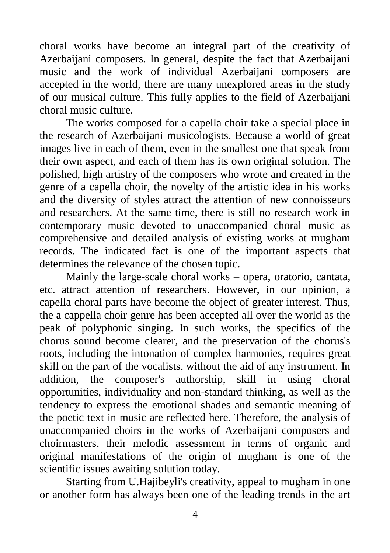choral works have become an integral part of the creativity of Azerbaijani composers. In general, despite the fact that Azerbaijani music and the work of individual Azerbaijani composers are accepted in the world, there are many unexplored areas in the study of our musical culture. This fully applies to the field of Azerbaijani choral music culture.

The works composed for a capella choir take a special place in the research of Azerbaijani musicologists. Because a world of great images live in each of them, even in the smallest one that speak from their own aspect, and each of them has its own original solution. The polished, high artistry of the composers who wrote and created in the genre of a capella choir, the novelty of the artistic idea in his works and the diversity of styles attract the attention of new connoisseurs and researchers. At the same time, there is still no research work in contemporary music devoted to unaccompanied choral music as comprehensive and detailed analysis of existing works at mugham records. The indicated fact is one of the important aspects that determines the relevance of the chosen topic.

Mainly the large-scale choral works – opera, oratorio, cantata, etc. attract attention of researchers. However, in our opinion, a capella choral parts have become the object of greater interest. Thus, the a cappella choir genre has been accepted all over the world as the peak of polyphonic singing. In such works, the specifics of the chorus sound become clearer, and the preservation of the chorus's roots, including the intonation of complex harmonies, requires great skill on the part of the vocalists, without the aid of any instrument. In addition, the composer's authorship, skill in using choral opportunities, individuality and non-standard thinking, as well as the tendency to express the emotional shades and semantic meaning of the poetic text in music are reflected here. Therefore, the analysis of unaccompanied choirs in the works of Azerbaijani composers and choirmasters, their melodic assessment in terms of organic and original manifestations of the origin of mugham is one of the scientific issues awaiting solution today.

Starting from U.Hajibeyli's creativity, appeal to mugham in one or another form has always been one of the leading trends in the art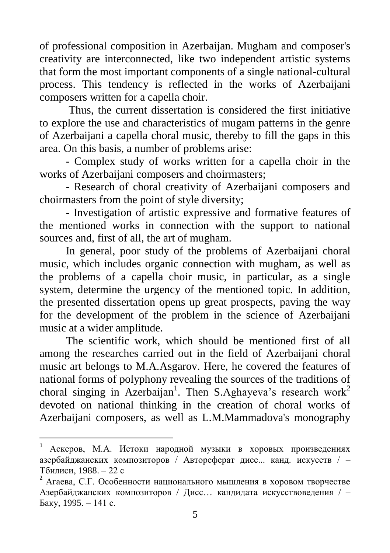of professional composition in Azerbaijan. Mugham and composer's creativity are interconnected, like two independent artistic systems that form the most important components of a single national-cultural process. This tendency is reflected in the works of Azerbaijani composers written for a capella choir.

Thus, the current dissertation is considered the first initiative to explore the use and characteristics of mugam patterns in the genre of Azerbaijani a capella choral music, thereby to fill the gaps in this area. On this basis, a number of problems arise:

- Complex study of works written for a capella choir in the works of Azerbaijani composers and choirmasters;

- Research of choral creativity of Azerbaijani composers and choirmasters from the point of style diversity;

- Investigation of artistic expressive and formative features of the mentioned works in connection with the support to national sources and, first of all, the art of mugham.

In general, poor study of the problems of Azerbaijani choral music, which includes organic connection with mugham, as well as the problems of a capella choir music, in particular, as a single system, determine the urgency of the mentioned topic. In addition, the presented dissertation opens up great prospects, paving the way for the development of the problem in the science of Azerbaijani music at a wider amplitude.

The scientific work, which should be mentioned first of all among the researches carried out in the field of Azerbaijani choral music art belongs to M.A.Asgarov. Here, he covered the features of national forms of polyphony revealing the sources of the traditions of choral singing in Azerbaijan<sup>1</sup>. Then S.Aghayeva's research work<sup>2</sup> devoted on national thinking in the creation of choral works of Azerbaijani composers, as well as L.M.Mammadova's monography

 $\mathbf{1}$ <sup>1</sup> Аскеров, М.А. Истоки народной музыки в хоровых произведениях азербайджанских композиторов / Автореферат дисс... канд. искусств / – Тбилиси, 1988. – 22 с

<sup>2</sup> Агаева, С.Г. Особенности национального мышления в хоровом творчестве Азербайджанских композиторов / Дисс… кандидата искусствоведения / – Баку, 1995. – 141 с.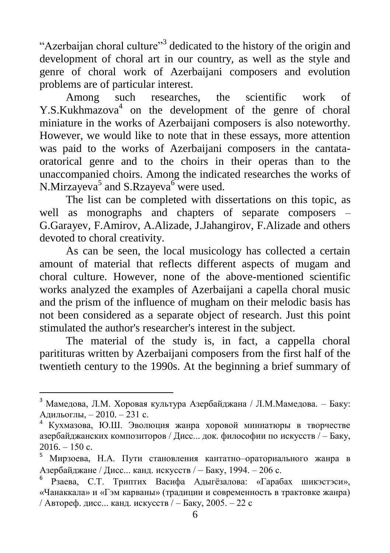"Azerbaijan choral culture"<sup>3</sup> dedicated to the history of the origin and development of choral art in our country, as well as the style and genre of choral work of Azerbaijani composers and evolution problems are of particular interest.

Among such researches, the scientific work of Y.S.Kukhmazova<sup>4</sup> on the development of the genre of choral miniature in the works of Azerbaijani composers is also noteworthy. However, we would like to note that in these essays, more attention was paid to the works of Azerbaijani composers in the cantataoratorical genre and to the choirs in their operas than to the unaccompanied choirs. Among the indicated researches the works of N.Mirzayeva<sup>5</sup> and S.Rzayeva<sup>6</sup> were used.

The list can be completed with dissertations on this topic, as well as monographs and chapters of separate composers – G.Garayev, F.Amirov, A.Alizade, J.Jahangirov, F.Alizade and others devoted to choral creativity.

As can be seen, the local musicology has collected a certain amount of material that reflects different aspects of mugam and choral culture. However, none of the above-mentioned scientific works analyzed the examples of Azerbaijani a capella choral music and the prism of the influence of mugham on their melodic basis has not been considered as a separate object of research. Just this point stimulated the author's researcher's interest in the subject.

The material of the study is, in fact, a cappella choral paritituras written by Azerbaijani composers from the first half of the twentieth century to the 1990s. At the beginning a brief summary of

<sup>3</sup> Мамедова, Л.М. Хоровая культура Азербайджана / Л.М.Мамедова. – Баку: Адильоглы, – 2010. – 231 с.

<sup>4</sup> Кухмазова, Ю.Ш. Эволюция жанра хоровой миниатюры в творчестве азербайджанских композиторов / Дисс... док. философии по искусств / – Баку,  $2016. - 150$  c.

<sup>5</sup> Мирзоева, Н.А. Пути становления кантатно–ораториального жанра в Азербайджане / Дисс... канд. искусств / – Баку, 1994. – 206 с.

<sup>6</sup> Рзаева, С.Т. Триптих Васифа Адыгёзалова: «Гарабах шикэстэси», «Чанаккала» и «Гэм карваны» (традиции и современность в трактовке жанра) / Автореф. дисс... канд. искусств / – Баку, 2005. – 22 с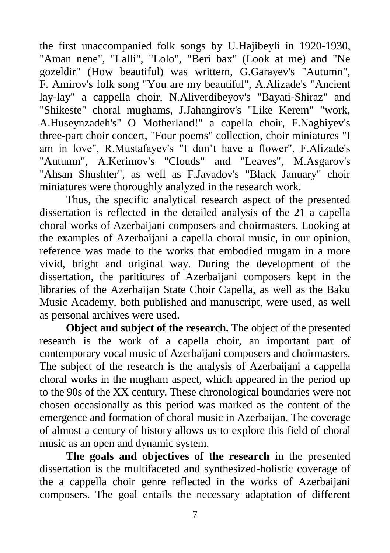the first unaccompanied folk songs by U.Hajibeyli in 1920-1930, "Aman nene", "Lalli", "Lolo", "Beri bax" (Look at me) and "Ne gozeldir" (How beautiful) was writtern, G.Garayev's "Autumn", F. Amirov's folk song "You are my beautiful", A.Alizade's "Ancient lay-lay" a cappella choir, N.Aliverdibeyov's "Bayati-Shiraz" and "Shikeste" choral mughams, J.Jahangirov's "Like Kerem" "work, A.Huseynzadeh's" O Motherland!" a capella choir, F.Naghiyev's three-part choir concert, "Four poems" collection, choir miniatures "I am in love", R.Mustafayev's "I don't have a flower", F.Alizade's "Autumn", A.Kerimov's "Clouds" and "Leaves", M.Asgarov's "Ahsan Shushter", as well as F.Javadov's "Black January" choir miniatures were thoroughly analyzed in the research work.

Thus, the specific analytical research aspect of the presented dissertation is reflected in the detailed analysis of the 21 a capella choral works of Azerbaijani composers and choirmasters. Looking at the examples of Azerbaijani a capella choral music, in our opinion, reference was made to the works that embodied mugam in a more vivid, bright and original way. During the development of the dissertation, the parititures of Azerbaijani composers kept in the libraries of the Azerbaijan State Choir Capella, as well as the Baku Music Academy, both published and manuscript, were used, as well as personal archives were used.

**Object and subject of the research.** The object of the presented research is the work of a capella choir, an important part of contemporary vocal music of Azerbaijani composers and choirmasters. The subject of the research is the analysis of Azerbaijani a cappella choral works in the mugham aspect, which appeared in the period up to the 90s of the XX century. These chronological boundaries were not chosen occasionally as this period was marked as the content of the emergence and formation of choral music in Azerbaijan. The coverage of almost a century of history allows us to explore this field of choral music as an open and dynamic system.

**The goals and objectives of the research** in the presented dissertation is the multifaceted and synthesized-holistic coverage of the a cappella choir genre reflected in the works of Azerbaijani composers. The goal entails the necessary adaptation of different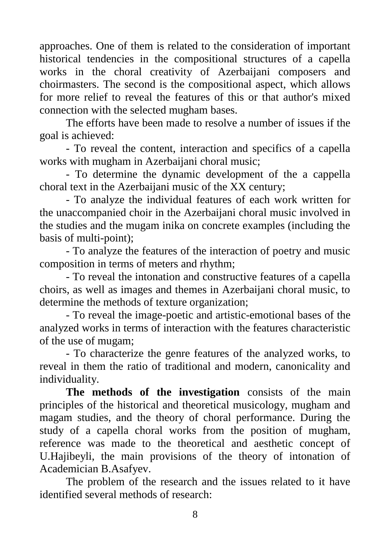approaches. One of them is related to the consideration of important historical tendencies in the compositional structures of a capella works in the choral creativity of Azerbaijani composers and choirmasters. The second is the compositional aspect, which allows for more relief to reveal the features of this or that author's mixed connection with the selected mugham bases.

The efforts have been made to resolve a number of issues if the goal is achieved:

- To reveal the content, interaction and specifics of a capella works with mugham in Azerbaijani choral music;

- To determine the dynamic development of the a cappella choral text in the Azerbaijani music of the XX century;

- To analyze the individual features of each work written for the unaccompanied choir in the Azerbaijani choral music involved in the studies and the mugam inika on concrete examples (including the basis of multi-point);

- To analyze the features of the interaction of poetry and music composition in terms of meters and rhythm;

- To reveal the intonation and constructive features of a capella choirs, as well as images and themes in Azerbaijani choral music, to determine the methods of texture organization;

- To reveal the image-poetic and artistic-emotional bases of the analyzed works in terms of interaction with the features characteristic of the use of mugam;

- To characterize the genre features of the analyzed works, to reveal in them the ratio of traditional and modern, canonicality and individuality.

**The methods of the investigation** consists of the main principles of the historical and theoretical musicology, mugham and magam studies, and the theory of choral performance. During the study of a capella choral works from the position of mugham, reference was made to the theoretical and aesthetic concept of U.Hajibeyli, the main provisions of the theory of intonation of Academician B.Asafyev.

The problem of the research and the issues related to it have identified several methods of research: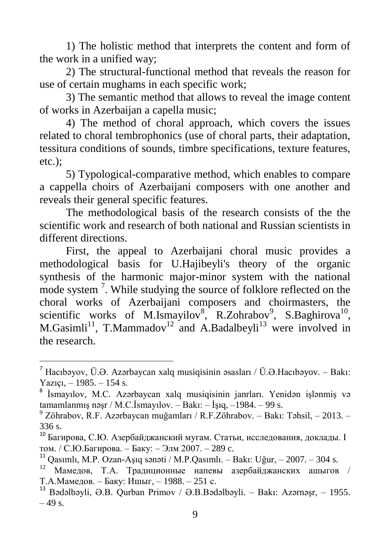1) The holistic method that interprets the content and form of the work in a unified way;

2) The structural-functional method that reveals the reason for use of certain mughams in each specific work;

3) The semantic method that allows to reveal the image content of works in Azerbaijan a capella music;

4) The method of choral approach, which covers the issues related to choral tembrophonics (use of choral parts, their adaptation, tessitura conditions of sounds, timbre specifications, texture features, etc.);

5) Typological-comparative method, which enables to compare a cappella choirs of Azerbaijani composers with one another and reveals their general specific features.

The methodological basis of the research consists of the the scientific work and research of both national and Russian scientists in different directions.

First, the appeal to Azerbaijani choral music provides a methodological basis for U.Hajibeyli's theory of the organic synthesis of the harmonic major-minor system with the national mode system<sup>7</sup>. While studying the source of folklore reflected on the choral works of Azerbaijani composers and choirmasters, the scientific works of M.Ismayilov<sup>8</sup>, R.Zohrabov<sup>9</sup>, S.Baghirova<sup>10</sup>, M.Gasimli<sup>11</sup>, T.Mammadov<sup>12</sup> and A.Badalbeyli<sup>13</sup> were involved in the research.

 $\ddot{\phantom{a}}$ 

 $^7$  Hacıbəyov, Ü.Ə. Azərbaycan xalq musiqisinin əsasları / Ü.Ə.Hacıbəyov. – Bakı: Yazıçı, – 1985. – 154 s.

<sup>&</sup>lt;sup>8</sup> İsmayılov, M.C. Azərbaycan xalq musiqisinin janrları. Yenidən işlənmiş və tamamlanmış nəşr / M.C.İsmayılov. – Bakı: – İşıq, –1984. – 99 s.

 $9$  Zöhrabov, R.F. Azərbaycan muğamları / R.F. Zöhrabov. – Bakı: Təhsil, – 2013. – 336 s.

<sup>10</sup> Багирова, С.Ю. Азербайджанский мугам. Статьи, исследования, доклады. I том. / С.Ю.Багирова. – Баку: – Элм 2007. – 289 c.

 $11$  Oasımlı, M.P. Ozan-Aşıq sənəti / M.P. Qasımlı. – Bakı: Uğur, – 2007. – 304 s.

 $12$  Мамедов, Т.А. Традиционные напевы азербайджанских ашыгов / Т.А.Мамедов. – Баку: Ишыг, – 1988. – 251 с.

<sup>13</sup> Bədəlbəyli, Ə.B. Qurban Primov / Ə.B.Bədəlbəyli. – Bakı: Azərnəşr, – 1955.  $-49$  s.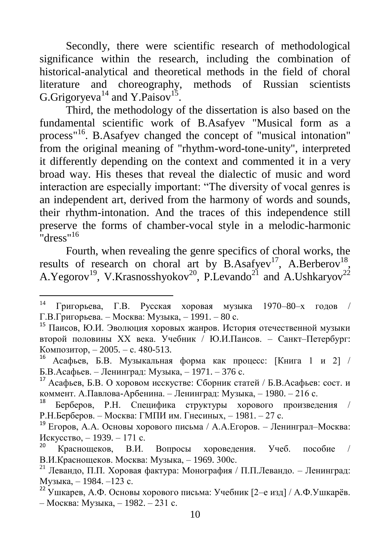Secondly, there were scientific research of methodological significance within the research, including the combination of historical-analytical and theoretical methods in the field of choral literature and choreography, methods of Russian scientists G.Grigoryeva<sup>14</sup> and Y.Paisov<sup>15</sup>.

Third, the methodology of the dissertation is also based on the fundamental scientific work of B.Asafyev "Musical form as a process"<sup>16</sup>. B.Asafyev changed the concept of "musical intonation" from the original meaning of "rhythm-word-tone-unity", interpreted it differently depending on the context and commented it in a very broad way. His theses that reveal the dialectic of music and word interaction are especially important: "The diversity of vocal genres is an independent art, derived from the harmony of words and sounds, their rhythm-intonation. And the traces of this independence still preserve the forms of chamber-vocal style in a melodic-harmonic "dress"<sup>16</sup>

Fourth, when revealing the genre specifics of choral works, the results of research on choral art by  $B.Asafyev^{17}$ , A.Berberov<sup>18</sup>, A.Yegorov<sup>19</sup>, V.Krasnosshyokov<sup>20</sup>, P.Levando<sup>21</sup> and A.Ushkaryov<sup>22</sup>

<sup>14</sup> Григорьева, Г.В. Русская хоровая музыка 1970–80–х годов / Г.В.Григорьева. – Москва: Музыка, – 1991. – 80 с.

<sup>15</sup> Паисов, Ю.И. Эволюция хоровых жанров. История отечественной музыки второй половины XX века. Учебник / Ю.И.Паисов. – Санкт–Петербург: Композитор, – 2005. – с. 480-513.

<sup>16</sup> Асафьев, Б.В. Музыкальная форма как процесс: [Книга 1 и 2] / Б.В.Асафьев. – Ленинград: Музыка, – 1971. – 376 с.

<sup>17</sup> Асафьев, Б.В. О хоровом исскустве: Сборник статей / Б.В.Асафьев: сост. и коммент. А.Павлова-Арбенина. – Ленинград: Музыка, – 1980. – 216 с.

<sup>18</sup> Берберов, Р.Н. Специфика структуры хорового произведения / Р.Н.Берберов. – Москва: ГМПИ им. Гнесиных, – 1981. – 27 с.

<sup>19</sup> Егоров, А.А. Основы хорового письма / A.А.Егоров. – Ленинграл–Москва: Искусство, – 1939. – 171 с.

<sup>20</sup> Краснощеков, В.И. Вопросы хороведения. Учеб. пособие / В.И.Краснощеков. Москва: Музыка, – 1969. 300с.

<sup>&</sup>lt;sup>21</sup> Левандо, П.П. Хоровая фактура: Монография / П.П.Левандо. - Ленинград: Музыка, – 1984. –123 с.

<sup>22</sup> Ушкарев, А.Ф. Основы хорового письма: Учебник [2–е изд] / А.Ф.Ушкарѐв. – Москва: Музыка, – 1982. – 231 с.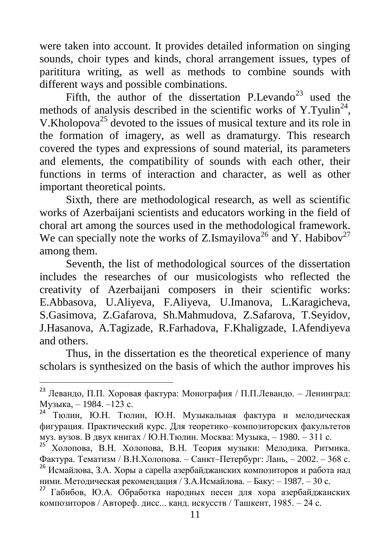were taken into account. It provides detailed information on singing sounds, choir types and kinds, choral arrangement issues, types of parititura writing, as well as methods to combine sounds with different ways and possible combinations.

Fifth, the author of the dissertation P.Levando<sup>23</sup> used the methods of analysis described in the scientific works of Y.Tyulin<sup>24</sup>, V.Kholopova<sup>25</sup> devoted to the issues of musical texture and its role in the formation of imagery, as well as dramaturgy. This research covered the types and expressions of sound material, its parameters and elements, the compatibility of sounds with each other, their functions in terms of interaction and character, as well as other important theoretical points.

Sixth, there are methodological research, as well as scientific works of Azerbaijani scientists and educators working in the field of choral art among the sources used in the methodological framework. We can specially note the works of Z.Ismayilova<sup>26</sup> and Y. Habibov<sup>27</sup> among them.

Seventh, the list of methodological sources of the dissertation includes the researches of our musicologists who reflected the creativity of Azerbaijani composers in their scientific works: E.Abbasova, U.Aliyeva, F.Aliyeva, U.Imanova, L.Karagicheva, S.Gasimova, Z.Gafarova, Sh.Mahmudova, Z.Safarova, T.Seyidov, J.Hasanova, A.Tagizade, R.Farhadova, F.Khaligzade, I.Afendiyeva and others.

Thus, in the dissertation es the theoretical experience of many scholars is synthesized on the basis of which the author improves his

1

<sup>23</sup> Левандо, П.П. Хоровая фактура: Монография / П.П.Левандо. – Ленинград: Музыка, – 1984. –123 с.

Тюлин, Ю.Н. Тюлин, Ю.Н. Музыкальная фактура и мелодическая фигурация. Практический курс. Для теоретико–композиторских факультетов муз. вузов. В двух книгах / Ю.Н.Тюлин. Москва: Музыка, – 1980. – 311 с.

<sup>25</sup> Холопова, В.Н. Холопова, В.Н. Теория музыки: Мелодика. Ритмика. Фактура. Тематизм / В.Н.Холопова. – Санкт–Петербург: Лань, – 2002. – 368 с. <sup>26</sup> Исмайлова. З.А. Хоры а capella азербайджанских композиторов и работа над ними. Методическая рекомендация / З.А.Исмайлова. – Баку: – 1987. – 30 с.

<sup>27</sup> Габибов, Ю.А. Обработка народных песен для хора азербайджанских композиторов / Автореф. дисс... канд. искусств / Ташкент, 1985. – 24 с.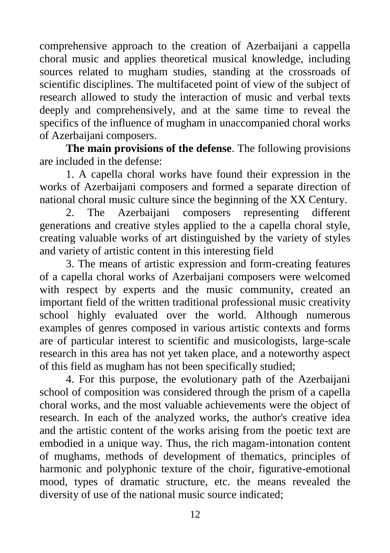comprehensive approach to the creation of Azerbaijani a cappella choral music and applies theoretical musical knowledge, including sources related to mugham studies, standing at the crossroads of scientific disciplines. The multifaceted point of view of the subject of research allowed to study the interaction of music and verbal texts deeply and comprehensively, and at the same time to reveal the specifics of the influence of mugham in unaccompanied choral works of Azerbaijani composers.

**The main provisions of the defense**. The following provisions are included in the defense:

1. A capella choral works have found their expression in the works of Azerbaijani composers and formed a separate direction of national choral music culture since the beginning of the XX Century.

2. The Azerbaijani composers representing different generations and creative styles applied to the a capella choral style, creating valuable works of art distinguished by the variety of styles and variety of artistic content in this interesting field

3. The means of artistic expression and form-creating features of a capella choral works of Azerbaijani composers were welcomed with respect by experts and the music community, created an important field of the written traditional professional music creativity school highly evaluated over the world. Although numerous examples of genres composed in various artistic contexts and forms are of particular interest to scientific and musicologists, large-scale research in this area has not yet taken place, and a noteworthy aspect of this field as mugham has not been specifically studied;

4. For this purpose, the evolutionary path of the Azerbaijani school of composition was considered through the prism of a capella choral works, and the most valuable achievements were the object of research. In each of the analyzed works, the author's creative idea and the artistic content of the works arising from the poetic text are embodied in a unique way. Thus, the rich magam-intonation content of mughams, methods of development of thematics, principles of harmonic and polyphonic texture of the choir, figurative-emotional mood, types of dramatic structure, etc. the means revealed the diversity of use of the national music source indicated;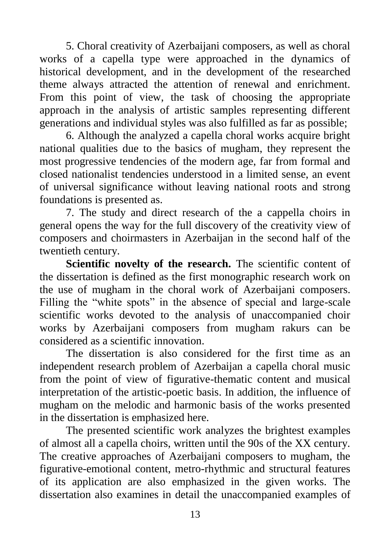5. Choral creativity of Azerbaijani composers, as well as choral works of a capella type were approached in the dynamics of historical development, and in the development of the researched theme always attracted the attention of renewal and enrichment. From this point of view, the task of choosing the appropriate approach in the analysis of artistic samples representing different generations and individual styles was also fulfilled as far as possible;

6. Although the analyzed a capella choral works acquire bright national qualities due to the basics of mugham, they represent the most progressive tendencies of the modern age, far from formal and closed nationalist tendencies understood in a limited sense, an event of universal significance without leaving national roots and strong foundations is presented as.

7. The study and direct research of the a cappella choirs in general opens the way for the full discovery of the creativity view of composers and choirmasters in Azerbaijan in the second half of the twentieth century.

**Scientific novelty of the research.** The scientific content of the dissertation is defined as the first monographic research work on the use of mugham in the choral work of Azerbaijani composers. Filling the "white spots" in the absence of special and large-scale scientific works devoted to the analysis of unaccompanied choir works by Azerbaijani composers from mugham rakurs can be considered as a scientific innovation.

The dissertation is also considered for the first time as an independent research problem of Azerbaijan a capella choral music from the point of view of figurative-thematic content and musical interpretation of the artistic-poetic basis. In addition, the influence of mugham on the melodic and harmonic basis of the works presented in the dissertation is emphasized here.

The presented scientific work analyzes the brightest examples of almost all a capella choirs, written until the 90s of the XX century. The creative approaches of Azerbaijani composers to mugham, the figurative-emotional content, metro-rhythmic and structural features of its application are also emphasized in the given works. The dissertation also examines in detail the unaccompanied examples of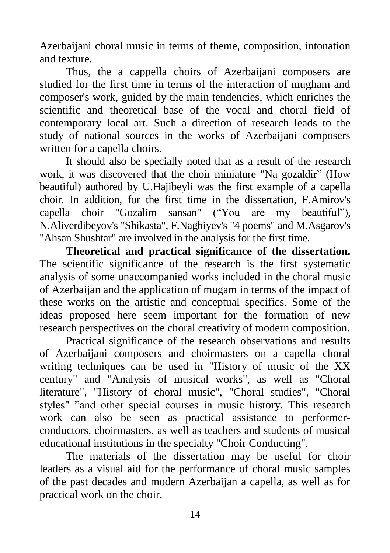Azerbaijani choral music in terms of theme, composition, intonation and texture.

Thus, the a cappella choirs of Azerbaijani composers are studied for the first time in terms of the interaction of mugham and composer's work, guided by the main tendencies, which enriches the scientific and theoretical base of the vocal and choral field of contemporary local art. Such a direction of research leads to the study of national sources in the works of Azerbaijani composers written for a capella choirs.

It should also be specially noted that as a result of the research work, it was discovered that the choir miniature "Na gozaldir" (How beautiful) authored by U.Hajibeyli was the first example of a capella choir. In addition, for the first time in the dissertation, F.Amirov's capella choir "Gozalim sansan" ("You are my beautiful"), N.Aliverdibeyov's "Shikasta", F.Naghiyev's "4 poems" and M.Asgarov's "Ahsan Shushtar" are involved in the analysis for the first time.

**Theoretical and practical significance of the dissertation.**  The scientific significance of the research is the first systematic analysis of some unaccompanied works included in the choral music of Azerbaijan and the application of mugam in terms of the impact of these works on the artistic and conceptual specifics. Some of the ideas proposed here seem important for the formation of new research perspectives on the choral creativity of modern composition.

Practical significance of the research observations and results of Azerbaijani composers and choirmasters on a capella choral writing techniques can be used in "History of music of the XX century" and "Analysis of musical works", as well as "Choral literature", "History of choral music", "Choral studies", "Choral styles" "and other special courses in music history. This research work can also be seen as practical assistance to performerconductors, choirmasters, as well as teachers and students of musical educational institutions in the specialty "Choir Conducting".

The materials of the dissertation may be useful for choir leaders as a visual aid for the performance of choral music samples of the past decades and modern Azerbaijan a capella, as well as for practical work on the choir.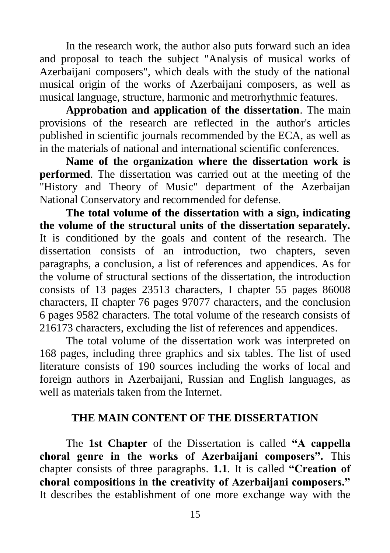In the research work, the author also puts forward such an idea and proposal to teach the subject "Analysis of musical works of Azerbaijani composers", which deals with the study of the national musical origin of the works of Azerbaijani composers, as well as musical language, structure, harmonic and metrorhythmic features.

**Approbation and application of the dissertation**. The main provisions of the research are reflected in the author's articles published in scientific journals recommended by the ECA, as well as in the materials of national and international scientific conferences.

**Name of the organization where the dissertation work is performed**. The dissertation was carried out at the meeting of the "History and Theory of Music" department of the Azerbaijan National Conservatory and recommended for defense.

**The total volume of the dissertation with a sign, indicating the volume of the structural units of the dissertation separately.** It is conditioned by the goals and content of the research. The dissertation consists of an introduction, two chapters, seven paragraphs, a conclusion, a list of references and appendices. As for the volume of structural sections of the dissertation, the introduction consists of 13 pages 23513 characters, I chapter 55 pages 86008 characters, II chapter 76 pages 97077 characters, and the conclusion 6 pages 9582 characters. The total volume of the research consists of 216173 characters, excluding the list of references and appendices.

The total volume of the dissertation work was interpreted on 168 pages, including three graphics and six tables. The list of used literature consists of 190 sources including the works of local and foreign authors in Azerbaijani, Russian and English languages, as well as materials taken from the Internet.

#### **THE MAIN CONTENT OF THE DISSERTATION**

The **1st Chapter** of the Dissertation is called **"A cappella choral genre in the works of Azerbaijani composers".** This chapter consists of three paragraphs. **1.1**. It is called **"Creation of choral compositions in the creativity of Azerbaijani composers."** It describes the establishment of one more exchange way with the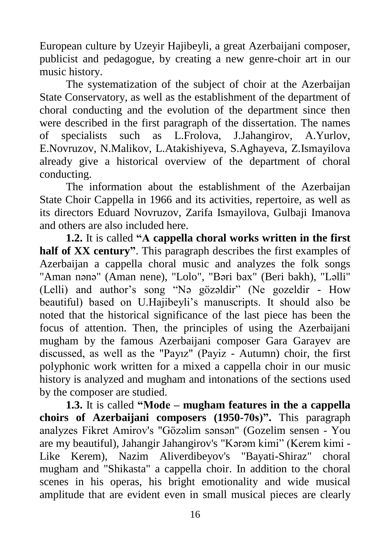European culture by Uzeyir Hajibeyli, a great Azerbaijani composer, publicist and pedagogue, by creating a new genre-choir art in our music history.

The systematization of the subject of choir at the Azerbaijan State Conservatory, as well as the establishment of the department of choral conducting and the evolution of the department since then were described in the first paragraph of the dissertation. The names of specialists such as L.Frolova, J.Jahangirov, A.Yurlov, E.Novruzov, N.Malikov, L.Atakishiyeva, S.Aghayeva, Z.Ismayilova already give a historical overview of the department of choral conducting.

The information about the establishment of the Azerbaijan State Choir Cappella in 1966 and its activities, repertoire, as well as its directors Eduard Novruzov, Zarifa Ismayilova, Gulbaji Imanova and others are also included here.

**1.2.** It is called **"A cappella choral works written in the first half of XX century"**. This paragraph describes the first examples of Azerbaijan a cappella choral music and analyzes the folk songs "Aman nənə" (Aman nene), "Lolo", "Bəri bax" (Beri bakh), "Ləlli" (Lelli) and author's song "Nə gözəldir" (Ne gozeldir - How beautiful) based on U.Hajibeyli's manuscripts. It should also be noted that the historical significance of the last piece has been the focus of attention. Then, the principles of using the Azerbaijani mugham by the famous Azerbaijani composer Gara Garayev are discussed, as well as the "Payız" (Payiz - Autumn) choir, the first polyphonic work written for a mixed a cappella choir in our music history is analyzed and mugham and intonations of the sections used by the composer are studied.

**1.3.** It is called **"Mode – mugham features in the a cappella choirs of Azerbaijani composers (1950-70s)".** This paragraph analyzes Fikret Amirov's "Gözəlim sənsən" (Gozelim sensen - You are my beautiful), Jahangir Jahangirov's "Kərəm kimi" (Kerem kimi - Like Kerem), Nazim Aliverdibeyov's "Bayati-Shiraz" choral mugham and "Shikasta" a cappella choir. In addition to the choral scenes in his operas, his bright emotionality and wide musical amplitude that are evident even in small musical pieces are clearly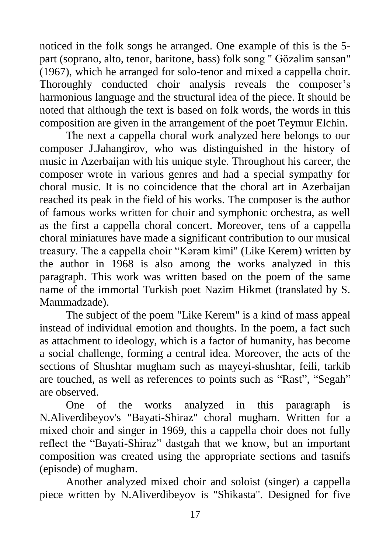noticed in the folk songs he arranged. One example of this is the 5 part (soprano, alto, tenor, baritone, bass) folk song " Gözəlim sənsən" (1967), which he arranged for solo-tenor and mixed a cappella choir. Thoroughly conducted choir analysis reveals the composer's harmonious language and the structural idea of the piece. It should be noted that although the text is based on folk words, the words in this composition are given in the arrangement of the poet Teymur Elchin.

The next a cappella choral work analyzed here belongs to our composer J.Jahangirov, who was distinguished in the history of music in Azerbaijan with his unique style. Throughout his career, the composer wrote in various genres and had a special sympathy for choral music. It is no coincidence that the choral art in Azerbaijan reached its peak in the field of his works. The composer is the author of famous works written for choir and symphonic orchestra, as well as the first a cappella choral concert. Moreover, tens of a cappella choral miniatures have made a significant contribution to our musical treasury. The a cappella choir "Kərəm kimi" (Like Kerem) written by the author in 1968 is also among the works analyzed in this paragraph. This work was written based on the poem of the same name of the immortal Turkish poet Nazim Hikmet (translated by S. Mammadzade).

The subject of the poem "Like Kerem" is a kind of mass appeal instead of individual emotion and thoughts. In the poem, a fact such as attachment to ideology, which is a factor of humanity, has become a social challenge, forming a central idea. Moreover, the acts of the sections of Shushtar mugham such as mayeyi-shushtar, feili, tarkib are touched, as well as references to points such as "Rast", "Segah" are observed.

One of the works analyzed in this paragraph is N.Aliverdibeyov's "Bayati-Shiraz" choral mugham. Written for a mixed choir and singer in 1969, this a cappella choir does not fully reflect the "Bayati-Shiraz" dastgah that we know, but an important composition was created using the appropriate sections and tasnifs (episode) of mugham.

Another analyzed mixed choir and soloist (singer) a cappella piece written by N.Aliverdibeyov is "Shikasta". Designed for five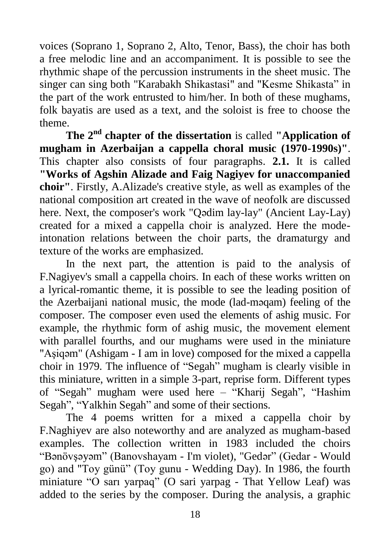voices (Soprano 1, Soprano 2, Alto, Tenor, Bass), the choir has both a free melodic line and an accompaniment. It is possible to see the rhythmic shape of the percussion instruments in the sheet music. The singer can sing both "Karabakh Shikastasi" and "Kesme Shikasta" in the part of the work entrusted to him/her. In both of these mughams, folk bayatis are used as a text, and the soloist is free to choose the theme.

**The 2nd chapter of the dissertation** is called **"Application of mugham in Azerbaijan a cappella choral music (1970-1990s)"**. This chapter also consists of four paragraphs. **2.1.** It is called **"Works of Agshin Alizade and Faig Nagiyev for unaccompanied choir"**. Firstly, A.Alizade's creative style, as well as examples of the national composition art created in the wave of neofolk are discussed here. Next, the composer's work "Qədim lay-lay" (Ancient Lay-Lay) created for a mixed a cappella choir is analyzed. Here the modeintonation relations between the choir parts, the dramaturgy and texture of the works are emphasized.

In the next part, the attention is paid to the analysis of F.Nagiyev's small a cappella choirs. In each of these works written on a lyrical-romantic theme, it is possible to see the leading position of the Azerbaijani national music, the mode (lad-məqam) feeling of the composer. The composer even used the elements of ashig music. For example, the rhythmic form of ashig music, the movement element with parallel fourths, and our mughams were used in the miniature "Aşiqəm" (Ashigam - I am in love) composed for the mixed a cappella choir in 1979. The influence of "Segah" mugham is clearly visible in this miniature, written in a simple 3-part, reprise form. Different types of "Segah" mugham were used here – "Kharij Segah", "Hashim Segah", "Yalkhin Segah" and some of their sections.

The 4 poems written for a mixed a cappella choir by F.Naghiyev are also noteworthy and are analyzed as mugham-based examples. The collection written in 1983 included the choirs "Bənövşəyəm" (Banovshayam - I'm violet), "Gedər" (Gedar - Would go) and "Toy günü" (Toy gunu - Wedding Day). In 1986, the fourth miniature "O sarı yarpaq" (O sari yarpag - That Yellow Leaf) was added to the series by the composer. During the analysis, a graphic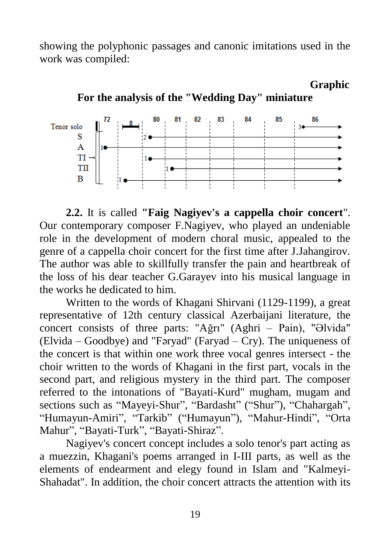showing the polyphonic passages and canonic imitations used in the work was compiled:



**For the analysis of the "Wedding Day" miniature**

 **Graphic**

**2.2.** It is called **"Faig Nagiyev's a cappella choir concert**". Our contemporary composer F.Nagiyev, who played an undeniable role in the development of modern choral music, appealed to the genre of a cappella choir concert for the first time after J.Jahangirov. The author was able to skillfully transfer the pain and heartbreak of the loss of his dear teacher G.Garayev into his musical language in the works he dedicated to him.

Written to the words of Khagani Shirvani (1129-1199), a great representative of 12th century classical Azerbaijani literature, the concert consists of three parts: "Ağrı" (Aghri – Pain), "Əlvida" (Elvida – Goodbye) and "Fəryad" (Faryad – Cry). The uniqueness of the concert is that within one work three vocal genres intersect - the choir written to the words of Khagani in the first part, vocals in the second part, and religious mystery in the third part. The composer referred to the intonations of "Bayati-Kurd" mugham, mugam and sections such as "Mayeyi-Shur", "Bardasht" ("Shur"), "Chahargah", "Humayun-Amiri", "Tarkib" ("Humayun"), "Mahur-Hindi", "Orta Mahur", "Bayati-Turk", "Bayati-Shiraz".

Nagiyev's concert concept includes a solo tenor's part acting as a muezzin, Khagani's poems arranged in I-III parts, as well as the elements of endearment and elegy found in Islam and "Kalmeyi-Shahadat". In addition, the choir concert attracts the attention with its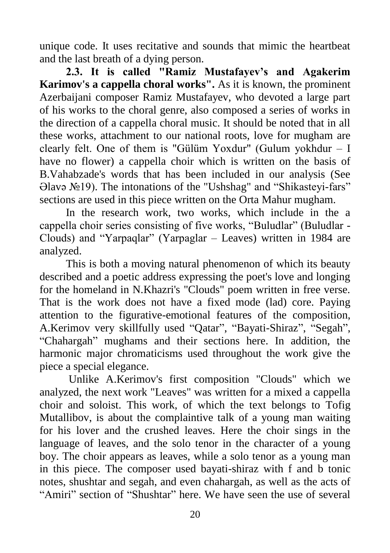unique code. It uses recitative and sounds that mimic the heartbeat and the last breath of a dying person.

**2.3. It is called "Ramiz Mustafayev's and Agakerim Karimov's a cappella choral works".** As it is known, the prominent Azerbaijani composer Ramiz Mustafayev, who devoted a large part of his works to the choral genre, also composed a series of works in the direction of a cappella choral music. It should be noted that in all these works, attachment to our national roots, love for mugham are clearly felt. One of them is "Gülüm Yoxdur" (Gulum yokhdur – I have no flower) a cappella choir which is written on the basis of B.Vahabzade's words that has been included in our analysis (See Əlavə №19). The intonations of the "Ushshag" and "Shikasteyi-fars" sections are used in this piece written on the Orta Mahur mugham.

In the research work, two works, which include in the a cappella choir series consisting of five works, "Buludlar" (Buludlar - Clouds) and "Yarpaqlar" (Yarpaglar – Leaves) written in 1984 are analyzed.

This is both a moving natural phenomenon of which its beauty described and a poetic address expressing the poet's love and longing for the homeland in N.Khazri's "Clouds" poem written in free verse. That is the work does not have a fixed mode (lad) core. Paying attention to the figurative-emotional features of the composition, A.Kerimov very skillfully used "Qatar", "Bayati-Shiraz", "Segah", "Chahargah" mughams and their sections here. In addition, the harmonic major chromaticisms used throughout the work give the piece a special elegance.

Unlike A.Kerimov's first composition "Clouds" which we analyzed, the next work "Leaves" was written for a mixed a cappella choir and soloist. This work, of which the text belongs to Tofig Mutallibov, is about the complaintive talk of a young man waiting for his lover and the crushed leaves. Here the choir sings in the language of leaves, and the solo tenor in the character of a young boy. The choir appears as leaves, while a solo tenor as a young man in this piece. The composer used bayati-shiraz with f and b tonic notes, shushtar and segah, and even chahargah, as well as the acts of "Amiri" section of "Shushtar" here. We have seen the use of several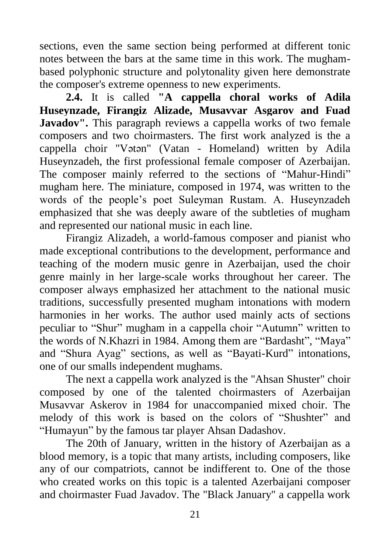sections, even the same section being performed at different tonic notes between the bars at the same time in this work. The mughambased polyphonic structure and polytonality given here demonstrate the composer's extreme openness to new experiments.

**2.4.** It is called **"A cappella choral works of Adila Huseynzade, Firangiz Alizade, Musavvar Asgarov and Fuad Javadov".** This paragraph reviews a cappella works of two female composers and two choirmasters. The first work analyzed is the a cappella choir "Vətən" (Vatan - Homeland) written by Adila Huseynzadeh, the first professional female composer of Azerbaijan. The composer mainly referred to the sections of "Mahur-Hindi" mugham here. The miniature, composed in 1974, was written to the words of the people's poet Suleyman Rustam. A. Huseynzadeh emphasized that she was deeply aware of the subtleties of mugham and represented our national music in each line.

Firangiz Alizadeh, a world-famous composer and pianist who made exceptional contributions to the development, performance and teaching of the modern music genre in Azerbaijan, used the choir genre mainly in her large-scale works throughout her career. The composer always emphasized her attachment to the national music traditions, successfully presented mugham intonations with modern harmonies in her works. The author used mainly acts of sections peculiar to "Shur" mugham in a cappella choir "Autumn" written to the words of N.Khazri in 1984. Among them are "Bardasht", "Maya" and "Shura Ayag" sections, as well as "Bayati-Kurd" intonations, one of our smalls independent mughams.

The next a cappella work analyzed is the "Ahsan Shuster" choir composed by one of the talented choirmasters of Azerbaijan Musavvar Askerov in 1984 for unaccompanied mixed choir. The melody of this work is based on the colors of "Shushter" and "Humayun" by the famous tar player Ahsan Dadashov.

The 20th of January, written in the history of Azerbaijan as a blood memory, is a topic that many artists, including composers, like any of our compatriots, cannot be indifferent to. One of the those who created works on this topic is a talented Azerbaijani composer and choirmaster Fuad Javadov. The "Black January" a cappella work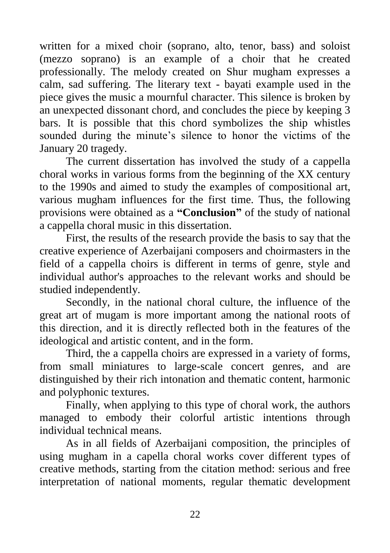written for a mixed choir (soprano, alto, tenor, bass) and soloist (mezzo soprano) is an example of a choir that he created professionally. The melody created on Shur mugham expresses a calm, sad suffering. The literary text - bayati example used in the piece gives the music a mournful character. This silence is broken by an unexpected dissonant chord, and concludes the piece by keeping 3 bars. It is possible that this chord symbolizes the ship whistles sounded during the minute's silence to honor the victims of the January 20 tragedy.

The current dissertation has involved the study of a cappella choral works in various forms from the beginning of the XX century to the 1990s and aimed to study the examples of compositional art, various mugham influences for the first time. Thus, the following provisions were obtained as a **"Conclusion"** of the study of national a cappella choral music in this dissertation.

First, the results of the research provide the basis to say that the creative experience of Azerbaijani composers and choirmasters in the field of a cappella choirs is different in terms of genre, style and individual author's approaches to the relevant works and should be studied independently.

Secondly, in the national choral culture, the influence of the great art of mugam is more important among the national roots of this direction, and it is directly reflected both in the features of the ideological and artistic content, and in the form.

Third, the a cappella choirs are expressed in a variety of forms, from small miniatures to large-scale concert genres, and are distinguished by their rich intonation and thematic content, harmonic and polyphonic textures.

Finally, when applying to this type of choral work, the authors managed to embody their colorful artistic intentions through individual technical means.

As in all fields of Azerbaijani composition, the principles of using mugham in a capella choral works cover different types of creative methods, starting from the citation method: serious and free interpretation of national moments, regular thematic development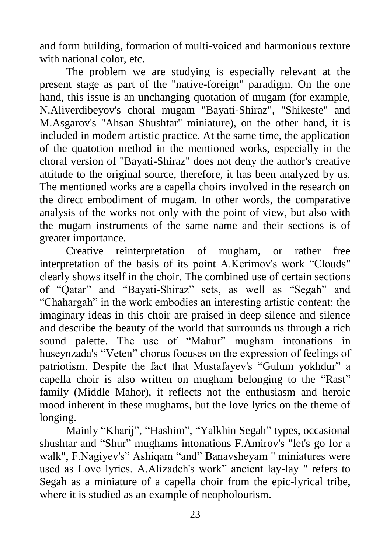and form building, formation of multi-voiced and harmonious texture with national color, etc.

The problem we are studying is especially relevant at the present stage as part of the "native-foreign" paradigm. On the one hand, this issue is an unchanging quotation of mugam (for example, N.Aliverdibeyov's choral mugam "Bayati-Shiraz", "Shikeste" and M.Asgarov's "Ahsan Shushtar" miniature), on the other hand, it is included in modern artistic practice. At the same time, the application of the quatotion method in the mentioned works, especially in the choral version of "Bayati-Shiraz" does not deny the author's creative attitude to the original source, therefore, it has been analyzed by us. The mentioned works are a capella choirs involved in the research on the direct embodiment of mugam. In other words, the comparative analysis of the works not only with the point of view, but also with the mugam instruments of the same name and their sections is of greater importance.

Creative reinterpretation of mugham, or rather free interpretation of the basis of its point A.Kerimov's work "Clouds" clearly shows itself in the choir. The combined use of certain sections of "Qatar" and "Bayati-Shiraz" sets, as well as "Segah" and "Chahargah" in the work embodies an interesting artistic content: the imaginary ideas in this choir are praised in deep silence and silence and describe the beauty of the world that surrounds us through a rich sound palette. The use of "Mahur" mugham intonations in huseynzada's "Veten" chorus focuses on the expression of feelings of patriotism. Despite the fact that Mustafayev's "Gulum yokhdur" a capella choir is also written on mugham belonging to the "Rast" family (Middle Mahor), it reflects not the enthusiasm and heroic mood inherent in these mughams, but the love lyrics on the theme of longing.

Mainly "Kharij", "Hashim", "Yalkhin Segah" types, occasional shushtar and "Shur" mughams intonations F.Amirov's "let's go for a walk", F.Nagiyev's" Ashiqam "and" Banavsheyam " miniatures were used as Love lyrics. A.Alizadeh's work" ancient lay-lay " refers to Segah as a miniature of a capella choir from the epic-lyrical tribe, where it is studied as an example of neopholourism.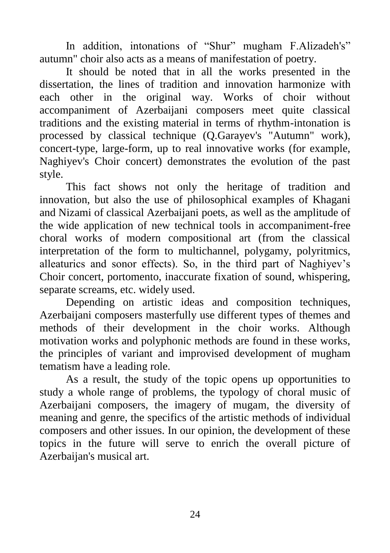In addition, intonations of "Shur" mugham F.Alizadeh's" autumn" choir also acts as a means of manifestation of poetry.

It should be noted that in all the works presented in the dissertation, the lines of tradition and innovation harmonize with each other in the original way. Works of choir without accompaniment of Azerbaijani composers meet quite classical traditions and the existing material in terms of rhythm-intonation is processed by classical technique (Q.Garayev's "Autumn" work), concert-type, large-form, up to real innovative works (for example, Naghiyev's Choir concert) demonstrates the evolution of the past style.

This fact shows not only the heritage of tradition and innovation, but also the use of philosophical examples of Khagani and Nizami of classical Azerbaijani poets, as well as the amplitude of the wide application of new technical tools in accompaniment-free choral works of modern compositional art (from the classical interpretation of the form to multichannel, polygamy, polyritmics, alleaturics and sonor effects). So, in the third part of Naghiyev's Choir concert, portomento, inaccurate fixation of sound, whispering, separate screams, etc. widely used.

Depending on artistic ideas and composition techniques, Azerbaijani composers masterfully use different types of themes and methods of their development in the choir works. Although motivation works and polyphonic methods are found in these works, the principles of variant and improvised development of mugham tematism have a leading role.

As a result, the study of the topic opens up opportunities to study a whole range of problems, the typology of choral music of Azerbaijani composers, the imagery of mugam, the diversity of meaning and genre, the specifics of the artistic methods of individual composers and other issues. In our opinion, the development of these topics in the future will serve to enrich the overall picture of Azerbaijan's musical art.

24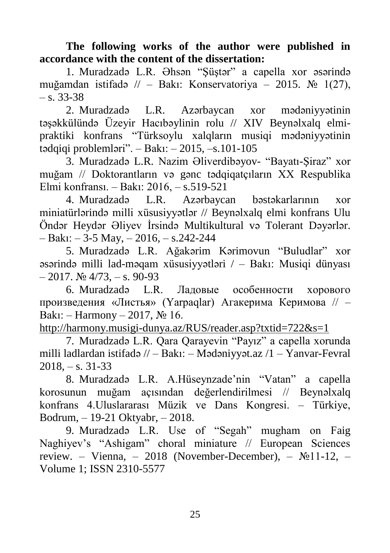**The following works of the author were published in accordance with the content of the dissertation:** 

1. Muradzadə L.R. Əhsən "Şüştər" a capella xor əsərində muğamdan istifadə // – Bakı: Konservatoriya – 2015. № 1(27),  $-$  s. 33-38

2. Muradzadə L.R. Azərbaycan xor mədəniyyətinin təşəkkülündə Üzeyir Hacıbəylinin rolu // XIV Beynəlxalq elmipraktiki konfrans "Türksoylu xalqların musiqi mədəniyyətinin tədqiqi problemləri". – Bakı: – 2015, –s.101-105

3. Muradzadə L.R. Nazim Əliverdibəyov- "Bayatı-Şiraz" xor muğam // Doktorantların və gənc tədqiqatçıların XX Respublika Elmi konfransı. – Bakı: 2016, – s.519-521

4. Muradzadə L.R. Azərbaycan bəstəkarlarının xor miniatürlərində milli xüsusiyyətlər // Beynəlxalq elmi konfrans Ulu Öndər Heydər Əliyev İrsində Multikultural və Tolerant Dəyərlər.  $-$  Bakı:  $-$  3-5 May,  $-$  2016,  $-$  s.242-244

5. Muradzadə L.R. Ağakərim Kərimovun "Buludlar" xor əsərində milli lad-məqam xüsusiyyətləri / – Bakı: Musiqi dünyası  $-2017$ .  $\text{Ne } 4/73$ ,  $-$  s. 90-93

6. Muradzadə L.R. Ладовые особенности хорового произведения «Листья» (Yarpaqlar) Агакерима Керимова // – Bakı: – Harmony – 2017, № 16.

<http://harmony.musigi-dunya.az/RUS/reader.asp?txtid=722&s=1>

7. Muradzadə L.R. Qara Qarayevin "Payız" a capella xorunda milli ladlardan istifadə // – Bakı: – Mədəniyyət.az /1 – Yanvar-Fevral  $2018, -s$ , 31-33

8. Muradzadə L.R. A.Hüseynzade'nin "Vatan" a capella korosunun muğam açısından değerlendirilmesi // Beynəlxalq konfrans 4.Uluslararası Müzik ve Dans Kongresi. – Türkiye, Bodrum, – 19-21 Oktyabr, – 2018.

9. Muradzadə L.R. Use of "Segah" mugham on Faig Naghiyev's "Ashigam" choral miniature // European Sciences review. – Vienna, – 2018 (November-December), – №11-12, – Volume 1; ISSN 2310-5577

25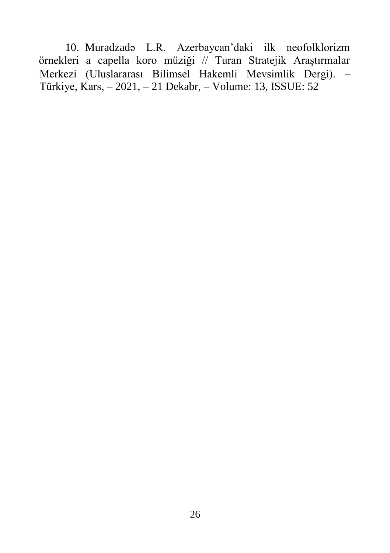Merkezi (Uluslararası Bilimsel Hakemli Mevsimlik Dergi). – Türkiye, Kars, – 2021, – 21 Dekabr, – Volume: 13, ISSUE: 52 10. Muradzadə L.R. Azerbaycan'daki ilk neofolklorizm örnekleri a capella koro müziği // Turan Stratejik Araştırmalar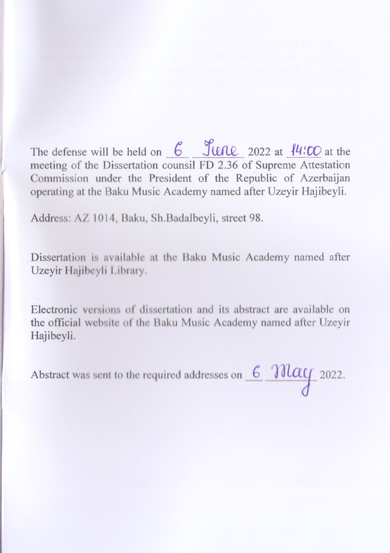The defense will be held on  $\frac{6}{100}$   $\frac{6}{100}$  2022 at  $\frac{14}{100}$  at the meeting of the Dissertation counsil FD 2.36 of Supreme Attestation Commission under the President of the Republic of Azerbaijan operating at the Baku Music Academy named after Uzeyir Hajibeyli. operating at the Baku Music Academy named after Uzeyir Hajibeyli.

Address: AZ 1014, Baku, Sh.Badalbeyli, street 98.

Dissertation is available at the Baku Music Academy named after Uzeyir Hajibeyli Library.

Electronic versions of dissertation and its abstract are available on the official website of the Baku Music Academy named after Ozeyn Hajibeyli.

Abstract was sent to the required addresses on  $6$   $3000$   $2022$ .